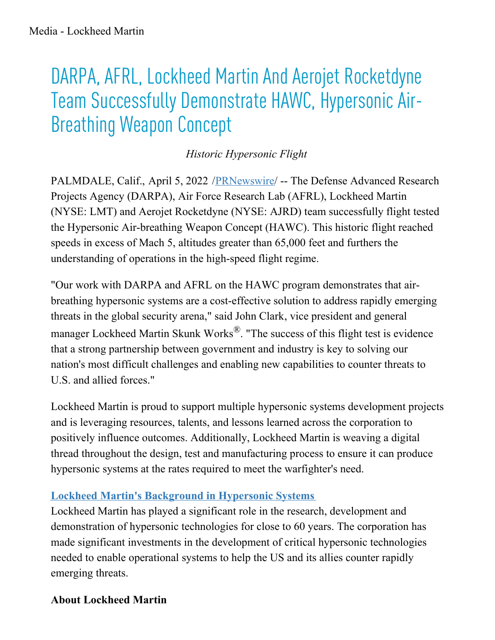## DARPA, AFRL, Lockheed Martin And Aerojet Rocketdyne Team Successfully Demonstrate HAWC, Hypersonic Air-**Breathing Weapon Concept**

*Historic Hypersonic Flight*

PALMDALE, Calif., April 5, 2022 [/PRNewswire](http://www.prnewswire.com/)/ -- The Defense Advanced Research Projects Agency (DARPA), Air Force Research Lab (AFRL), Lockheed Martin (NYSE: LMT) and Aerojet Rocketdyne (NYSE: AJRD) team successfully flight tested the Hypersonic Air-breathing Weapon Concept (HAWC). This historic flight reached speeds in excess of Mach 5, altitudes greater than 65,000 feet and furthers the understanding of operations in the high-speed flight regime.

"Our work with DARPA and AFRL on the HAWC program demonstrates that airbreathing hypersonic systems are a cost-effective solution to address rapidly emerging threats in the global security arena," said John Clark, vice president and general manager Lockheed Martin Skunk Works®. "The success of this flight test is evidence that a strong partnership between government and industry is key to solving our nation's most difficult challenges and enabling new capabilities to counter threats to U.S. and allied forces."

Lockheed Martin is proud to support multiple hypersonic systems development projects and is leveraging resources, talents, and lessons learned across the corporation to positively influence outcomes. Additionally, Lockheed Martin is weaving a digital thread throughout the design, test and manufacturing process to ensure it can produce hypersonic systems at the rates required to meet the warfighter's need.

## **Lockheed Martin's [Background](https://c212.net/c/link/?t=0&l=en&o=3495142-1&h=3078686960&u=https%3A%2F%2Fwww.lockheedmartin.com%2Fen-us%2Fcapabilities%2Fhypersonics.html&a=Lockheed+Martin%27s+Background+in+Hypersonic+Systems) in Hypersonic Systems**

Lockheed Martin has played a significant role in the research, development and demonstration of hypersonic technologies for close to 60 years. The corporation has made significant investments in the development of critical hypersonic technologies needed to enable operational systems to help the US and its allies counter rapidly emerging threats.

## **About Lockheed Martin**